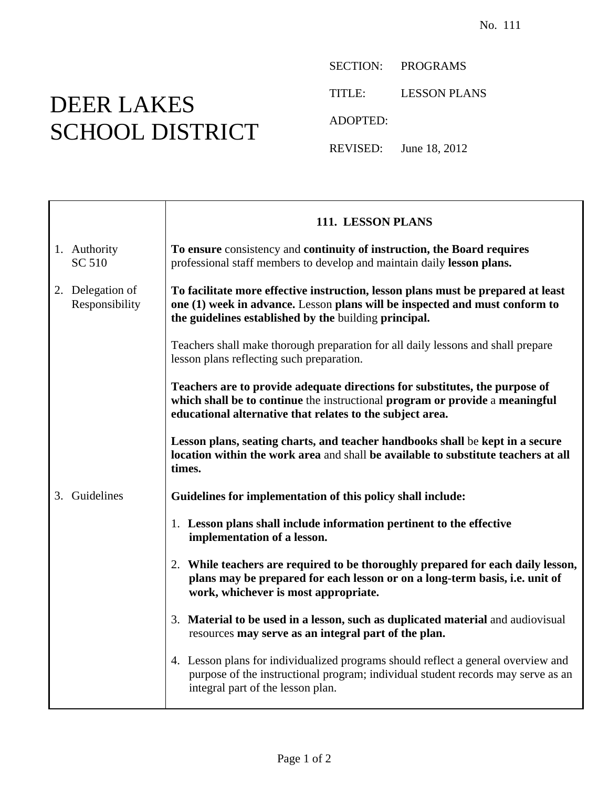## DEER LAKES SCHOOL DISTRICT

Ē

SECTION: PROGRAMS

TITLE: LESSON PLANS

ADOPTED:

REVISED: June 18, 2012

|                                    | 111. LESSON PLANS                                                                                                                                                                                                        |
|------------------------------------|--------------------------------------------------------------------------------------------------------------------------------------------------------------------------------------------------------------------------|
| 1. Authority<br>SC 510             | To ensure consistency and continuity of instruction, the Board requires<br>professional staff members to develop and maintain daily lesson plans.                                                                        |
| 2. Delegation of<br>Responsibility | To facilitate more effective instruction, lesson plans must be prepared at least<br>one (1) week in advance. Lesson plans will be inspected and must conform to<br>the guidelines established by the building principal. |
|                                    | Teachers shall make thorough preparation for all daily lessons and shall prepare<br>lesson plans reflecting such preparation.                                                                                            |
|                                    | Teachers are to provide adequate directions for substitutes, the purpose of<br>which shall be to continue the instructional program or provide a meaningful<br>educational alternative that relates to the subject area. |
|                                    | Lesson plans, seating charts, and teacher handbooks shall be kept in a secure<br>location within the work area and shall be available to substitute teachers at all<br>times.                                            |
| 3. Guidelines                      | Guidelines for implementation of this policy shall include:                                                                                                                                                              |
|                                    | 1. Lesson plans shall include information pertinent to the effective<br>implementation of a lesson.                                                                                                                      |
|                                    | 2. While teachers are required to be thoroughly prepared for each daily lesson,<br>plans may be prepared for each lesson or on a long-term basis, i.e. unit of<br>work, whichever is most appropriate.                   |
|                                    | 3. Material to be used in a lesson, such as duplicated material and audiovisual<br>resources may serve as an integral part of the plan.                                                                                  |
|                                    | 4. Lesson plans for individualized programs should reflect a general overview and<br>purpose of the instructional program; individual student records may serve as an<br>integral part of the lesson plan.               |